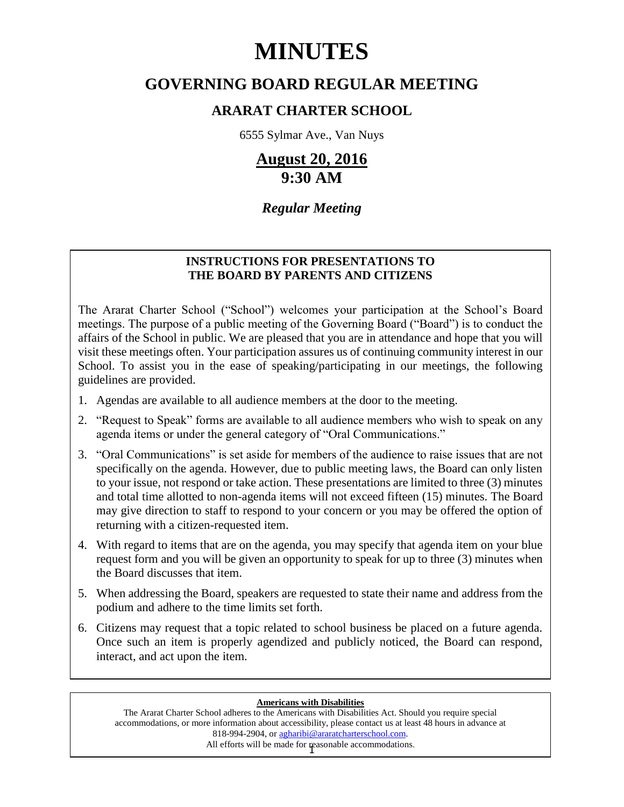# **MINUTES**

## **GOVERNING BOARD REGULAR MEETING**

### **ARARAT CHARTER SCHOOL**

6555 Sylmar Ave., Van Nuys

# **August 20, 2016 9:30 AM**

### *Regular Meeting*

#### **INSTRUCTIONS FOR PRESENTATIONS TO THE BOARD BY PARENTS AND CITIZENS**

The Ararat Charter School ("School") welcomes your participation at the School's Board meetings. The purpose of a public meeting of the Governing Board ("Board") is to conduct the affairs of the School in public. We are pleased that you are in attendance and hope that you will visit these meetings often. Your participation assures us of continuing community interest in our School. To assist you in the ease of speaking/participating in our meetings, the following guidelines are provided.

- 1. Agendas are available to all audience members at the door to the meeting.
- 2. "Request to Speak" forms are available to all audience members who wish to speak on any agenda items or under the general category of "Oral Communications."
- 3. "Oral Communications" is set aside for members of the audience to raise issues that are not specifically on the agenda. However, due to public meeting laws, the Board can only listen to your issue, not respond or take action. These presentations are limited to three (3) minutes and total time allotted to non-agenda items will not exceed fifteen (15) minutes. The Board may give direction to staff to respond to your concern or you may be offered the option of returning with a citizen-requested item.
- 4. With regard to items that are on the agenda, you may specify that agenda item on your blue request form and you will be given an opportunity to speak for up to three (3) minutes when the Board discusses that item.
- 5. When addressing the Board, speakers are requested to state their name and address from the podium and adhere to the time limits set forth.
- 6. Citizens may request that a topic related to school business be placed on a future agenda. Once such an item is properly agendized and publicly noticed, the Board can respond, interact, and act upon the item.

#### **Americans with Disabilities**

All efforts will be made for reasonable accommodations. The Ararat Charter School adheres to the Americans with Disabilities Act. Should you require special accommodations, or more information about accessibility, please contact us at least 48 hours in advance at 818-994-2904, or agharibi@araratcharterschool.com.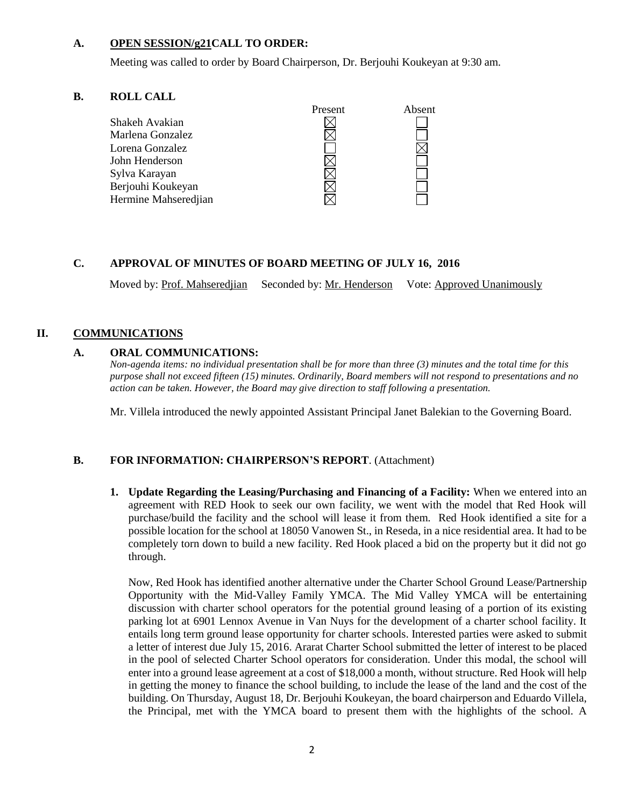#### **A. OPEN SESSION/g21CALL TO ORDER:**

Meeting was called to order by Board Chairperson, Dr. Berjouhi Koukeyan at 9:30 am.

#### **B. ROLL CALL**



#### **C. APPROVAL OF MINUTES OF BOARD MEETING OF JULY 16, 2016**

Moved by: Prof. Mahseredjian Seconded by: Mr. Henderson Vote: Approved Unanimously

#### **II. COMMUNICATIONS**

#### **A. ORAL COMMUNICATIONS:**

*Non-agenda items: no individual presentation shall be for more than three (3) minutes and the total time for this purpose shall not exceed fifteen (15) minutes. Ordinarily, Board members will not respond to presentations and no action can be taken. However, the Board may give direction to staff following a presentation.*

Mr. Villela introduced the newly appointed Assistant Principal Janet Balekian to the Governing Board.

#### **B. FOR INFORMATION: CHAIRPERSON'S REPORT**. (Attachment)

**1. Update Regarding the Leasing/Purchasing and Financing of a Facility:** When we entered into an agreement with RED Hook to seek our own facility, we went with the model that Red Hook will purchase/build the facility and the school will lease it from them. Red Hook identified a site for a possible location for the school at 18050 Vanowen St., in Reseda, in a nice residential area. It had to be completely torn down to build a new facility. Red Hook placed a bid on the property but it did not go through.

Now, Red Hook has identified another alternative under the Charter School Ground Lease/Partnership Opportunity with the Mid-Valley Family YMCA. The Mid Valley YMCA will be entertaining discussion with charter school operators for the potential ground leasing of a portion of its existing parking lot at 6901 Lennox Avenue in Van Nuys for the development of a charter school facility. It entails long term ground lease opportunity for charter schools. Interested parties were asked to submit a letter of interest due July 15, 2016. Ararat Charter School submitted the letter of interest to be placed in the pool of selected Charter School operators for consideration. Under this modal, the school will enter into a ground lease agreement at a cost of \$18,000 a month, without structure. Red Hook will help in getting the money to finance the school building, to include the lease of the land and the cost of the building. On Thursday, August 18, Dr. Berjouhi Koukeyan, the board chairperson and Eduardo Villela, the Principal, met with the YMCA board to present them with the highlights of the school. A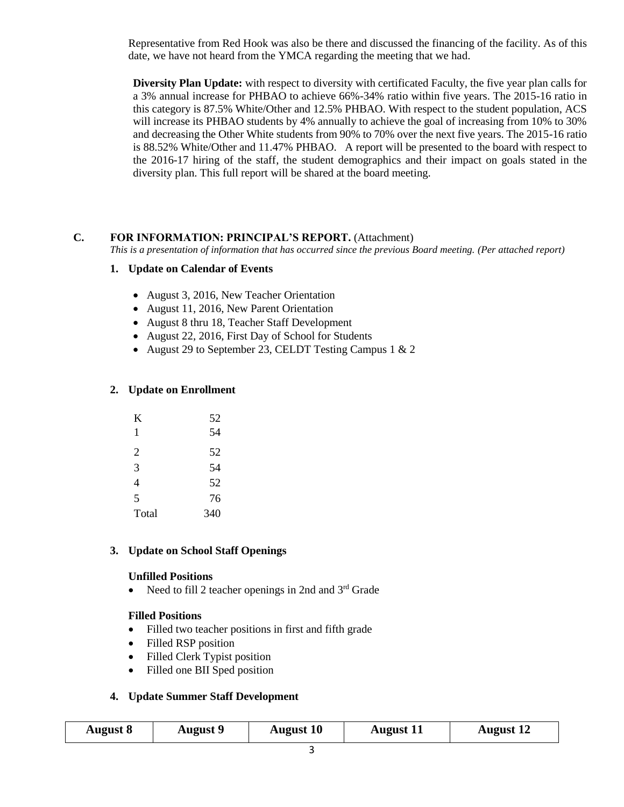Representative from Red Hook was also be there and discussed the financing of the facility. As of this date, we have not heard from the YMCA regarding the meeting that we had.

**Diversity Plan Update:** with respect to diversity with certificated Faculty, the five year plan calls for a 3% annual increase for PHBAO to achieve 66%-34% ratio within five years. The 2015-16 ratio in this category is 87.5% White/Other and 12.5% PHBAO. With respect to the student population, ACS will increase its PHBAO students by 4% annually to achieve the goal of increasing from 10% to 30% and decreasing the Other White students from 90% to 70% over the next five years. The 2015-16 ratio is 88.52% White/Other and 11.47% PHBAO. A report will be presented to the board with respect to the 2016-17 hiring of the staff, the student demographics and their impact on goals stated in the diversity plan. This full report will be shared at the board meeting.

#### **C. FOR INFORMATION: PRINCIPAL'S REPORT.** (Attachment)

*This is a presentation of information that has occurred since the previous Board meeting. (Per attached report)*

#### **1. Update on Calendar of Events**

- August 3, 2016, New Teacher Orientation
- August 11, 2016, New Parent Orientation
- August 8 thru 18, Teacher Staff Development
- August 22, 2016, First Day of School for Students
- August 29 to September 23, CELDT Testing Campus 1 & 2

#### **2. Update on Enrollment**

| K     | 52  |
|-------|-----|
| 1     | 54  |
| 2     | 52  |
| 3     | 54  |
| 4     | 52  |
| 5     | 76  |
| Total | 340 |

#### **3. Update on School Staff Openings**

#### **Unfilled Positions**

• Need to fill 2 teacher openings in 2nd and  $3<sup>rd</sup>$  Grade

#### **Filled Positions**

- Filled two teacher positions in first and fifth grade
- Filled RSP position
- Filled Clerk Typist position
- Filled one BII Sped position

#### **4. Update Summer Staff Development**

|  | <b>August 8</b> | <b>August 9</b> | <b>August 10</b> | <b>August</b> 11 | <b>August</b> 12 |  |
|--|-----------------|-----------------|------------------|------------------|------------------|--|
|--|-----------------|-----------------|------------------|------------------|------------------|--|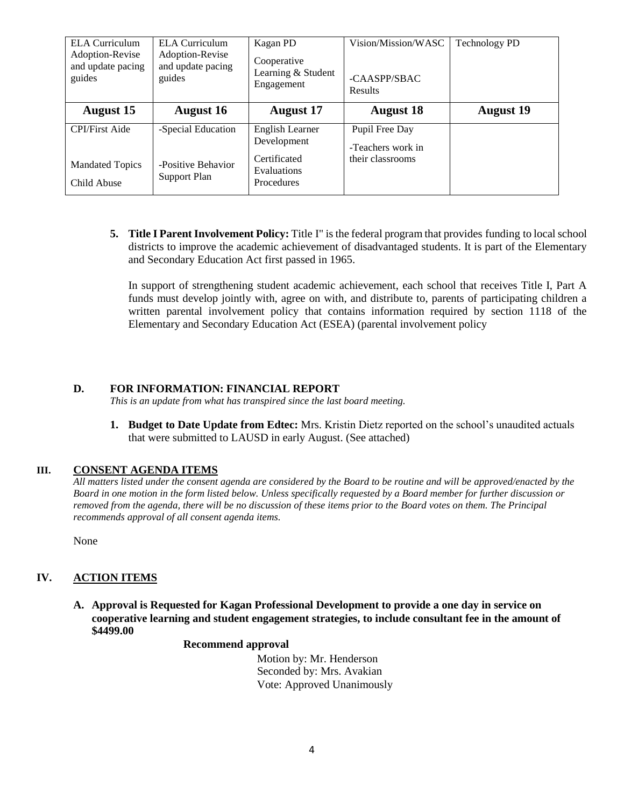| <b>ELA Curriculum</b><br>Adoption-Revise<br>and update pacing<br>guides | <b>ELA</b> Curriculum<br>Adoption-Revise<br>and update pacing<br>guides | Kagan PD<br>Cooperative<br>Learning & Student<br>Engagement                 | Vision/Mission/WASC<br>-CAASPP/SBAC<br><b>Results</b>   | <b>Technology PD</b> |
|-------------------------------------------------------------------------|-------------------------------------------------------------------------|-----------------------------------------------------------------------------|---------------------------------------------------------|----------------------|
| <b>August 15</b>                                                        | <b>August 16</b>                                                        | <b>August</b> 17                                                            | <b>August 18</b>                                        | <b>August 19</b>     |
| <b>CPI/First Aide</b><br><b>Mandated Topics</b><br>Child Abuse          | -Special Education<br>-Positive Behavior<br>Support Plan                | English Learner<br>Development<br>Certificated<br>Evaluations<br>Procedures | Pupil Free Day<br>-Teachers work in<br>their classrooms |                      |

**5. Title I Parent Involvement Policy:** Title I" is the federal program that provides funding to local school districts to improve the academic achievement of disadvantaged students. It is part of the Elementary and Secondary Education Act first passed in 1965.

In support of strengthening student academic achievement, each school that receives Title I, Part A funds must develop jointly with, agree on with, and distribute to, parents of participating children a written parental involvement policy that contains information required by section 1118 of the Elementary and Secondary Education Act (ESEA) (parental involvement policy

#### **D. FOR INFORMATION: FINANCIAL REPORT**

*This is an update from what has transpired since the last board meeting.*

**1. Budget to Date Update from Edtec:** Mrs. Kristin Dietz reported on the school's unaudited actuals that were submitted to LAUSD in early August. (See attached)

#### **III. CONSENT AGENDA ITEMS**

*All matters listed under the consent agenda are considered by the Board to be routine and will be approved/enacted by the Board in one motion in the form listed below. Unless specifically requested by a Board member for further discussion or removed from the agenda, there will be no discussion of these items prior to the Board votes on them. The Principal recommends approval of all consent agenda items.*

None

#### **IV. ACTION ITEMS**

**A. Approval is Requested for Kagan Professional Development to provide a one day in service on cooperative learning and student engagement strategies, to include consultant fee in the amount of \$4499.00**

#### **Recommend approval**

 Motion by: Mr. Henderson Seconded by: Mrs. Avakian Vote: Approved Unanimously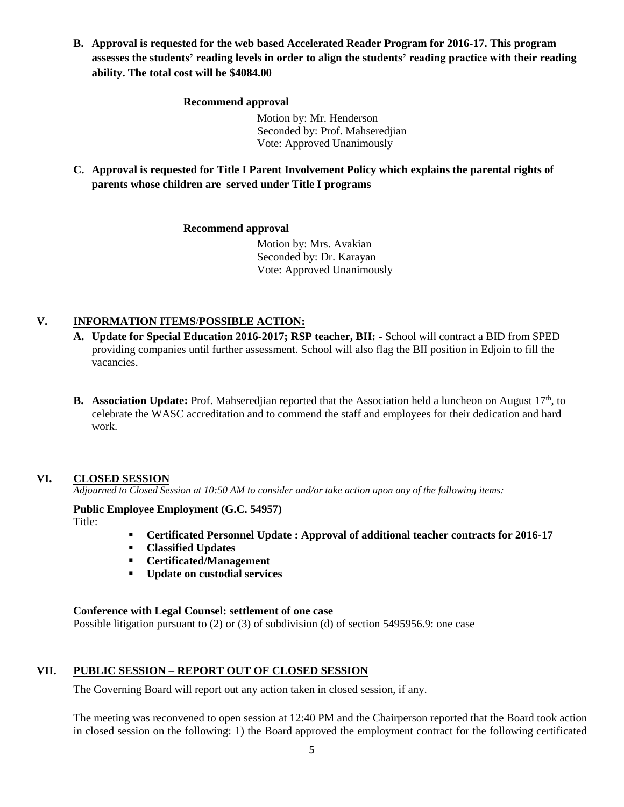**B. Approval is requested for the web based Accelerated Reader Program for 2016-17. This program assesses the students' reading levels in order to align the students' reading practice with their reading ability. The total cost will be \$4084.00**

#### **Recommend approval**

 Motion by: Mr. Henderson Seconded by: Prof. Mahseredjian Vote: Approved Unanimously

**C. Approval is requested for Title I Parent Involvement Policy which explains the parental rights of parents whose children are served under Title I programs**

#### **Recommend approval**

 Motion by: Mrs. Avakian Seconded by: Dr. Karayan Vote: Approved Unanimously

#### **V. INFORMATION ITEMS**/**POSSIBLE ACTION:**

- **A. Update for Special Education 2016-2017; RSP teacher, BII: -** School will contract a BID from SPED providing companies until further assessment. School will also flag the BII position in Edjoin to fill the vacancies.
- **B.** Association Update: Prof. Mahserediian reported that the Association held a luncheon on August 17<sup>th</sup>, to celebrate the WASC accreditation and to commend the staff and employees for their dedication and hard work.

#### **VI. CLOSED SESSION**

*Adjourned to Closed Session at 10:50 AM to consider and/or take action upon any of the following items:*

#### **Public Employee Employment (G.C. 54957)** Title:

- **Certificated Personnel Update : Approval of additional teacher contracts for 2016-17**
- **Classified Updates**
- **Certificated/Management**
- **Update on custodial services**

#### **Conference with Legal Counsel: settlement of one case**

Possible litigation pursuant to (2) or (3) of subdivision (d) of section 5495956.9: one case

#### **VII. PUBLIC SESSION – REPORT OUT OF CLOSED SESSION**

The Governing Board will report out any action taken in closed session, if any.

The meeting was reconvened to open session at 12:40 PM and the Chairperson reported that the Board took action in closed session on the following: 1) the Board approved the employment contract for the following certificated